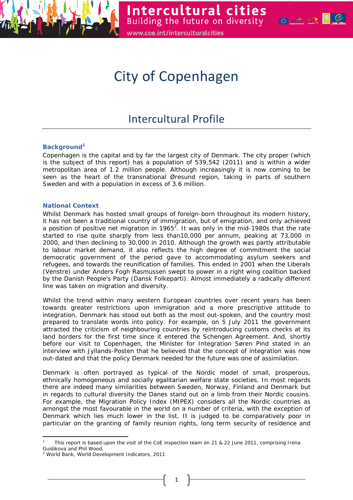

# City of Copenhagen

# Intercultural Profile

# **Background<sup>1</sup>**

Copenhagen is the capital and by far the largest city of Denmark. The city proper (which is the subject of this report) has a population of 539,542 (2011) and is within a wider metropolitan area of 1.2 million people. Although increasingly it is now coming to be seen as the heart of the transnational Øresund region, taking in parts of southern Sweden and with a population in excess of 3.6 million.

# **National Context**

Whilst Denmark has hosted small groups of foreign-born throughout its modern history, it has not been a traditional country of immigration, but of emigration, and only achieved a position of positive net migration in 1965<sup>2</sup>. It was only in the mid-1980s that the rate started to rise quite sharply from less than10,000 per annum, peaking at 73,000 in 2000, and then declining to 30,000 in 2010. Although the growth was partly attributable to labour market demand, it also reflects the high degree of commitment the social democratic government of the period gave to accommodating asylum seekers and refugees, and towards the reunification of families. This ended in 2001 when the Liberals (Venstre) under Anders Fogh Rasmussen swept to power in a right wing coalition backed by the Danish People's Party (Dansk Folkeparti). Almost immediately a radically different line was taken on migration and diversity.

Whilst the trend within many western European countries over recent years has been towards greater restrictions upon immigration and a more prescriptive attitude to integration, Denmark has stood out both as the most out-spoken, and the country most prepared to translate words into policy. For example, on 5 July 2011 the government attracted the criticism of neighbouring countries by reintroducing customs checks at its land borders for the first time since it entered the Schengen Agreement. And, shortly before our visit to Copenhagen, the Minister for Integration Søren Pind stated in an interview with Jyllands-Posten that he believed that the concept of integration was now out-dated and that the policy Denmark needed for the future was one of assimilation.

Denmark is often portrayed as typical of the Nordic model of small, prosperous, ethnically homogeneous and socially egalitarian welfare state societies. In most regards there are indeed many similarities between Sweden, Norway, Finland and Denmark but in regards to cultural diversity the Danes stand out on a limb from their Nordic cousins. For example, the Migration Policy Index (MIPEX) considers all the Nordic countries as amongst the most favourable in the world on a number of criteria, with the exception of Denmark which lies much lower in the list. It is judged to be comparatively poor in particular on the granting of family reunion rights, long term security of residence and

1

l 1 This report is based upon the visit of the CoE inspection team on 21 & 22 June 2011, comprising Irena Guidikova and Phil Wood.

<sup>&</sup>lt;sup>2</sup> World Bank, World Development Indicators, 2011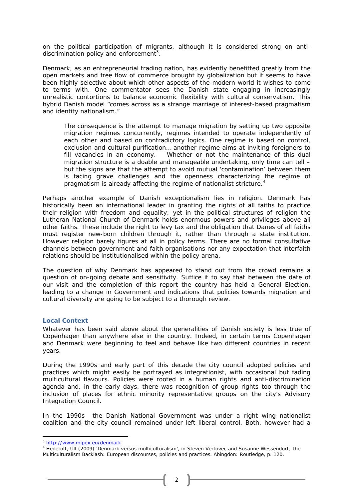on the political participation of migrants, although it is considered strong on antidiscrimination policy and enforcement<sup>3</sup>.

Denmark, as an entrepreneurial trading nation, has evidently benefitted greatly from the open markets and free flow of commerce brought by globalization but it seems to have been highly selective about which other aspects of the modern world it wishes to come to terms with. One commentator sees the Danish state engaging in increasingly unrealistic contortions to balance economic flexibility with cultural conservatism. This hybrid Danish model "comes across as a strange marriage of interest-based pragmatism and identity nationalism."

*The consequence is the attempt to manage migration by setting up two opposite migration regimes concurrently, regimes intended to operate independently of each other and based on contradictory logics. One regime is based on control, exclusion and cultural purification… another regime aims at inviting foreigners to fill vacancies in an economy. Whether or not the maintenance of this dual migration structure is a doable and manageable undertaking, only time can tell – but the signs are that the attempt to avoid mutual 'contamination' between them is facing grave challenges and the openness characterizing the regime of pragmatism is already affecting the regime of nationalist stricture.<sup>4</sup>*

Perhaps another example of Danish exceptionalism lies in religion. Denmark has historically been an international leader in granting the rights of all faiths to practice their religion with freedom and equality; yet in the political structures of religion the Lutheran National Church of Denmark holds enormous powers and privileges above all other faiths. These include the right to levy tax and the obligation that Danes of all faiths must register new-born children through it, rather than through a state institution. However religion barely figures at all in policy terms. There are no formal consultative channels between government and faith organisations nor any expectation that interfaith relations should be institutionalised within the policy arena.

The question of why Denmark has appeared to stand out from the crowd remains a question of on-going debate and sensitivity. Suffice it to say that between the date of our visit and the completion of this report the country has held a General Election, leading to a change in Government and indications that policies towards migration and cultural diversity are going to be subject to a thorough review.

#### **Local Context**

Whatever has been said above about the generalities of Danish society is less true of Copenhagen than anywhere else in the country. Indeed, in certain terms Copenhagen and Denmark were beginning to feel and behave like two different countries in recent years.

During the 1990s and early part of this decade the city council adopted policies and practices which might easily be portrayed as integrationist, with occasional but fading multicultural flavours. Policies were rooted in a human rights and anti-discrimination agenda and, in the early days, there was recognition of group rights too through the inclusion of places for ethnic minority representative groups on the city's Advisory Integration Council.

In the 1990s the Danish National Government was under a right wing nationalist coalition and the city council remained under left liberal control. Both, however had a

l

<sup>&</sup>lt;sup>3</sup> http://www.mipex.eu/denmark

<sup>&</sup>lt;sup>4</sup> Hedetoft, Ulf (2009) 'Denmark versus multiculturalism', in Steven Vertovec and Susanne Wessendorf, The *Multiculturalism Backlash: European discourses, policies and practices*. Abingdon: Routledge, p. 120.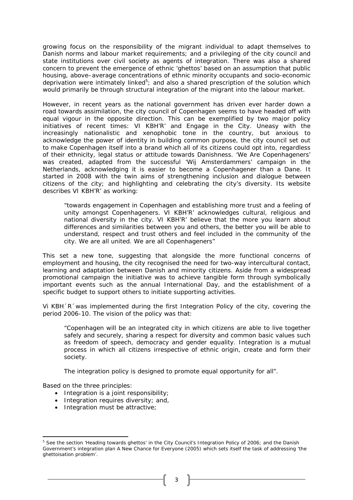growing focus on the responsibility of the migrant individual to adapt themselves to Danish norms and labour market requirements; and a privileging of the city council and state institutions over civil society as agents of integration. There was also a shared concern to prevent the emergence of ethnic 'ghettos' based on an assumption that public housing, above–average concentrations of ethnic minority occupants and socio-economic deprivation were intimately linked<sup>5</sup>; and also a shared prescription of the solution which would primarily be through structural integration of the migrant into the labour market.

However, in recent years as the national government has driven ever harder down a road towards assimilation, the city council of Copenhagen seems to have headed off with equal vigour in the opposite direction. This can be exemplified by two major policy initiatives of recent times: *VI KBH'R'* and *Engage in the City*. Uneasy with the increasingly nationalistic and xenophobic tone in the country, but anxious to acknowledge the power of identity in building common purpose, the city council set out to make Copenhagen itself into a brand which all of its citizens could opt into, regardless of their ethnicity, legal status or attitude towards Danishness. 'We Are Copenhageners' was created, adapted from the successful 'Wij Amsterdammers' campaign in the Netherlands, acknowledging it is easier to become a Copenhagener than a Dane. It started in 2008 with the twin aims of strengthening inclusion and dialogue between citizens of the city; and highlighting and celebrating the city's diversity. Its website describes VI KBH'R' as working:

*"towards engagement in Copenhagen and establishing more trust and a feeling of unity amongst Copenhageners. VI KBH'R' acknowledges cultural, religious and national diversity in the city. VI KBH'R' believe that the more you learn about differences and similarities between you and others, the better you will be able to understand, respect and trust others and feel included in the community of the city. We are all united. We are all Copenhageners"* 

This set a new tone, suggesting that alongside the more functional concerns of employment and housing, the city recognised the need for two-way intercultural contact, learning and adaptation between Danish and minority citizens. Aside from a widespread promotional campaign the initiative was to achieve tangible form through symbolically important events such as the annual International Day, and the establishment of a specific budget to support others to initiate supporting activities.

Vi KBH´R´was implemented during the first Integration Policy of the city, covering the period 2006-10. The vision of the policy was that:

"*Copenhagen will be an integrated city in which citizens are able to live together safely and securely, sharing a respect for diversity and common basic values such as freedom of speech, democracy and gender equality. Integration is a mutual process in which all citizens irrespective of ethnic origin, create and form their society.* 

*The integration policy is designed to promote equal opportunity for all*".

Based on the three principles:

- Integration is a joint responsibility;
- Integration requires diversity; and,
- Integration must be attractive;

l <sup>5</sup> See the section 'Heading towards ghettos' in the City Council's *Integration Policy* of 2006; and the Danish Government's integration plan *A New Chance for Everyone* (2005) which sets itself the task of addressing 'the ghettoisation problem'.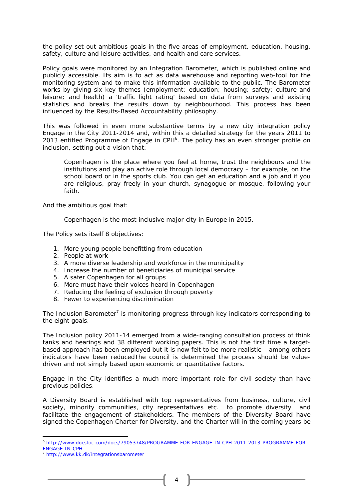the policy set out ambitious goals in the five areas of employment, education, housing, safety, culture and leisure activities, and health and care services.

Policy goals were monitored by an Integration Barometer, which is published online and publicly accessible. Its aim is to act as data warehouse and reporting web-tool for the monitoring system and to make this information available to the public. The Barometer works by giving six key themes (employment; education; housing; safety; culture and leisure; and health) a 'traffic light rating' based on data from surveys and existing statistics and breaks the results down by neighbourhood. This process has been influenced by the Results-Based Accountability philosophy.

This was followed in even more substantive terms by a new city integration policy *Engage in the City 2011-2014* and, within this a detailed strategy for the years 2011 to 2013 entitled *Programme of Engage in CPH*<sup>6</sup> *.* The policy has an even stronger profile on inclusion, setting out *a* vision that:

*Copenhagen is the place where you feel at home, trust the neighbours and the institutions and play an active role through local democracy – for example, on the school board or in the sports club. You can get an education and a job and if you are religious, pray freely in your church, synagogue or mosque, following your faith.* 

And the ambitious goal that:

*Copenhagen is the most inclusive major city in Europe in 2015.* 

The Policy sets itself 8 objectives:

- 1. More young people benefitting from education
- 2. People at work
- 3. A more diverse leadership and workforce in the municipality
- 4. Increase the number of beneficiaries of municipal service
- 5. A safer Copenhagen for all groups
- 6. More must have their voices heard in Copenhagen
- 7. Reducing the feeling of exclusion through poverty
- 8. Fewer to experiencing discrimination

The Inclusion Barometer<sup>7</sup> is monitoring progress through key indicators corresponding to the eight goals.

The Inclusion policy 2011-14 emerged from a wide-ranging consultation process of think tanks and hearings and 38 different working papers. This is not the first time a targetbased approach has been employed but it is now felt to be more realistic – among others indicators have been reducedThe council is determined the process should be valuedriven and not simply based upon economic or quantitative factors.

*Engage in the City* identifies a much more important role for civil society than have previous policies.

A Diversity Board is established with top representatives from business, culture, civil society, minority communities, city representatives etc. to promote diversity and facilitate the engagement of stakeholders. The members of the Diversity Board have signed the Copenhagen Charter for Diversity, and the Charter will in the coming years be

l <sup>6</sup> http://www.docstoc.com/docs/79053748/PROGRAMME-FOR-ENGAGE-IN-CPH-2011-2013-PROGRAMME-FOR-ENGAGE-IN-CPH<br>7 http://www.kk.dk/integrationsbarometer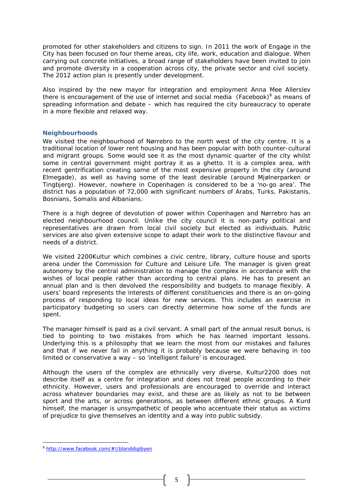promoted for other stakeholders and citizens to sign. In 2011 the work of Engage in the City has been focused on four theme areas, city life, work, education and dialogue. When carrying out concrete initiatives, a broad range of stakeholders have been invited to join and promote diversity in a cooperation across city, the private sector and civil society. The 2012 action plan is presently under development.

Also inspired by the new mayor for integration and employment Anna Mee Allerslev there is encouragement of the use of internet and social media (Facebook) $8$  as means of spreading information and debate – which has required the city bureaucracy to operate in a more flexible and relaxed way.

#### **Neighbourhoods**

We visited the neighbourhood of Nørrebro to the north west of the city centre. It is a traditional location of lower rent housing and has been popular with both counter-cultural and migrant groups. Some would see it as the most dynamic quarter of the city whilst some in central government might portray it as a ghetto. It is a complex area, with recent gentrification creating some of the most expensive property in the city (around Elmegade), as well as having some of the least desirable (around Mjølnerparken or Tingbjerg). However, nowhere in Copenhagen is considered to be a 'no-go area'. The district has a population of 72,000 with significant numbers of Arabs, Turks, Pakistanis, Bosnians, Somalis and Albanians.

There is a high degree of devolution of power within Copenhagen and Nørrebro has an elected neighbourhood council. Unlike the city council it is non-party political and representatives are drawn from local civil society but elected as individuals. Public services are also given extensive scope to adapt their work to the distinctive flavour and needs of a district.

We visited 2200Kultur which combines a civic centre, library, culture house and sports arena under the Commission for Culture and Leisure Life. The manager is given great autonomy by the central administration to manage the complex in accordance with the wishes of local people rather than according to central plans. He has to present an annual plan and is then devolved the responsibility and budgets to manage flexibly. A users' board represents the interests of different constituencies and there is an on-going process of responding to local ideas for new services. This includes an exercise in participatory budgeting so users can directly determine how some of the funds are spent.

The manager himself is paid as a civil servant. A small part of the annual result bonus, is tied to pointing to two mistakes from which he has learned important lessons. Underlying this is a philosophy that we learn the most from our mistakes and failures and that if we never fail in anything it is probably because we were behaving in too limited or conservative a way – so 'intelligent failure' is encouraged.

Although the users of the complex are ethnically very diverse, Kultur2200 does not describe itself as a centre for integration and does not treat people according to their ethnicity. However, users and professionals are encouraged to override and interact across whatever boundaries may exist, and these are as likely as not to be between sport and the arts, or across generations, as between different ethnic groups. A Kurd himself, the manager is unsympathetic of people who accentuate their status as victims of prejudice to give themselves an identity and a way into public subsidy.

 $\overline{a}$ 

<sup>8</sup> http://www.facebook.com/#!/blanddigibyen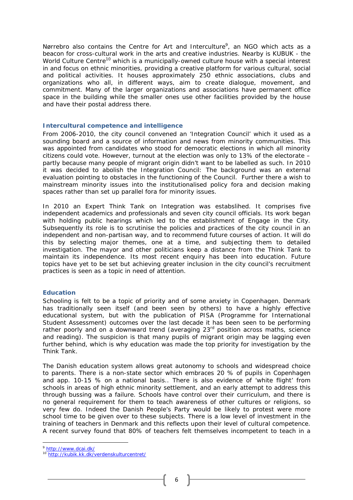Nørrebro also contains the Centre for Art and Interculture<sup>9</sup>, an NGO which acts as a beacon for cross-cultural work in the arts and creative industries. Nearby is KUBUK - the World Culture Centre<sup>10</sup> which is a municipally-owned culture house with a special interest in and focus on ethnic minorities, providing a creative platform for various cultural, social and political activities. It houses approximately 250 ethnic associations, clubs and organizations who all, in different ways, aim to create dialogue, movement, and commitment. Many of the larger organizations and associations have permanent office space in the building while the smaller ones use other facilities provided by the house and have their postal address there.

#### **Intercultural competence and intelligence**

From 2006-2010, the city council convened an 'Integration Council' which it used as a sounding board and a source of information and news from minority communities. This was appointed from candidates who stood for democratic elections in which all minority citizens could vote. However, turnout at the election was only to 13% of the electorate – partly because many people of migrant origin didn't want to be labelled as such. In 2010 it was decided to abolish the Integration Council: The background was an external evaluation pointing to obstacles in the functioning of the Council. Further there a wish to mainstream minority issues into the institutionalised policy fora and decision making spaces rather than set up parallel fora for minority issues.

In 2010 an Expert Think Tank on Integration was estabslihed. It comprises five independent academics and professionals and seven city council officials. Its work began with holding public hearings which led to the establishment of Engage in the City. Subsequently its role is to scrutinise the policies and practices of the city council in an independent and non-partisan way, and to recommend future courses of action. It will do this by selecting major themes, one at a time, and subjecting them to detailed investigation. The mayor and other politicians keep a distance from the Think Tank to maintain its independence. Its most recent enquiry has been into education. Future topics have yet to be set but achieving greater inclusion in the city council's recruitment practices is seen as a topic in need of attention.

# **Education**

Schooling is felt to be a topic of priority and of some anxiety in Copenhagen. Denmark has traditionally seen itself (and been seen by others) to have a highly effective educational system, but with the publication of PISA (Programme for International Student Assessment) outcomes over the last decade it has been seen to be performing rather poorly and on a downward trend (averaging  $23<sup>rd</sup>$  position across maths, science and reading). The suspicion is that many pupils of migrant origin may be lagging even further behind, which is why education was made the top priority for investigation by the Think Tank.

The Danish education system allows great autonomy to schools and widespread choice to parents. There is a non-state sector which embraces 20 % of pupils in Copenhagen and app. 10-15 % on a national basis.. There is also evidence of 'white flight' from schools in areas of high ethnic minority settlement, and an early attempt to address this through bussing was a failure. Schools have control over their curriculum, and there is no general requirement for them to teach awareness of other cultures or religions, so very few do. Indeed the Danish People's Party would be likely to protest were more school time to be given over to these subjects. There is a low level of investment in the training of teachers in Denmark and this reflects upon their level of cultural competence. A recent survey found that 80% of teachers felt themselves incompetent to teach in a

 $\overline{a}$ 

<sup>9</sup> http://www.dcai.dk/<br><sup>10</sup> http://kubi<u>k.kk.dk/verdenskulturcentret/</u>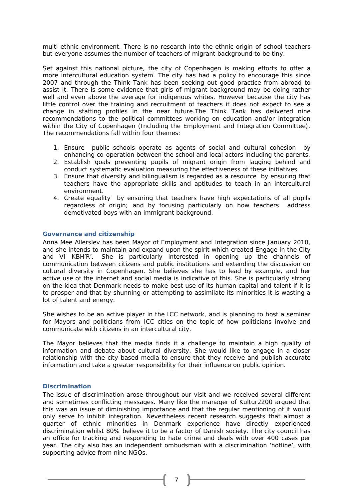multi-ethnic environment. There is no research into the ethnic origin of school teachers but everyone assumes the number of teachers of migrant background to be tiny.

Set against this national picture, the city of Copenhagen is making efforts to offer a more intercultural education system. The city has had a policy to encourage this since 2007 and through the Think Tank has been seeking out good practice from abroad to assist it. There is some evidence that girls of migrant background may be doing rather well and even above the average for indigenous whites. However because the city has little control over the training and recruitment of teachers it does not expect to see a change in staffing profiles in the near future.The Think Tank has delivered nine recommendations to the political committees working on education and/or integration within the City of Copenhagen (Including the Employment and Integration Committee). The recommendations fall within four themes:

- 1. Ensure public schools operate as agents of social and cultural cohesion by enhancing co-operation between the school and local actors including the parents.
- 2. Establish goals preventing pupils of migrant origin from lagging behind and conduct systematic evaluation measuring the effectiveness of these initiatives.
- 3. Ensure that diversity and bilingualism is regarded as a resource by ensuring that teachers have the appropriate skills and aptitudes to teach in an intercultural environment.
- 4. Create equality by ensuring that teachers have high expectations of all pupils regardless of origin; and by focusing particularly on how teachers address demotivated boys with an immigrant background.

#### **Governance and citizenship**

Anna Mee Allerslev has been Mayor of Employment and Integration since January 2010, and she intends to maintain and expand upon the spirit which created Engage in the City and VI KBH'R'. She is particularly interested in opening up the channels of communication between citizens and public institutions and extending the discussion on cultural diversity in Copenhagen. She believes she has to lead by example, and her active use of the internet and social media is indicative of this. She is particularly strong on the idea that Denmark needs to make best use of its human capital and talent if it is to prosper and that by shunning or attempting to assimilate its minorities it is wasting a lot of talent and energy.

She wishes to be an active player in the ICC network, and is planning to host a seminar for Mayors and politicians from ICC cities on the topic of how politicians involve and communicate with citizens in an intercultural city.

The Mayor believes that the media finds it a challenge to maintain a high quality of information and debate about cultural diversity. She would like to engage in a closer relationship with the city-based media to ensure that they receive and publish accurate information and take a greater responsibility for their influence on public opinion.

#### **Discrimination**

The issue of discrimination arose throughout our visit and we received several different and sometimes conflicting messages. Many like the manager of Kultur2200 argued that this was an issue of diminishing importance and that the regular mentioning of it would only serve to inhibit integration. Nevertheless recent research suggests that almost a quarter of ethnic minorities in Denmark experience have directly experienced discrimination whilst 80% believe it to be a factor of Danish society. The city council has an office for tracking and responding to hate crime and deals with over 400 cases per year. The city also has an independent ombudsman with a discrimination 'hotline', with supporting advice from nine NGOs.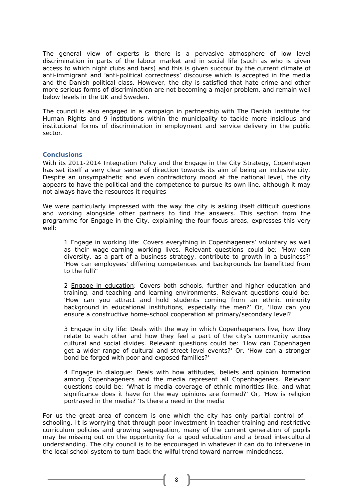The general view of experts is there is a pervasive atmosphere of low level discrimination in parts of the labour market and in social life (such as who is given access to which night clubs and bars) and this is given succour by the current climate of anti-immigrant and 'anti-political correctness' discourse which is accepted in the media and the Danish political class. However, the city is satisfied that hate crime and other more serious forms of discrimination are not becoming a major problem, and remain well below levels in the UK and Sweden.

The council is also engaged in a campaign in partnership with The Danish Institute for Human Rights and 9 institutions within the municipality to tackle more insidious and institutional forms of discrimination in employment and service delivery in the public sector.

# **Conclusions**

With its 2011-2014 Integration Policy and the Engage in the City Strategy, Copenhagen has set itself a very clear sense of direction towards its aim of being an inclusive city. Despite an unsympathetic and even contradictory mood at the national level, the city appears to have the political and the competence to pursue its own line, although it may not always have the resources it requires

We were particularly impressed with the way the city is asking itself difficult questions and working alongside other partners to find the answers. This section from the programme for *Engage in the City*, explaining the four focus areas, expresses this very well:

*1 Engage in working life: Covers everything in Copenhageners' voluntary as well as their wage-earning working lives. Relevant questions could be: 'How can diversity, as a part of a business strategy, contribute to growth in a business?' 'How can employees' differing competences and backgrounds be benefitted from to the full?'* 

*2* Engage in education*: Covers both schools, further and higher education and training, and teaching and learning environments. Relevant questions could be: 'How can you attract and hold students coming from an ethnic minority background in educational institutions, especially the men?' Or, 'How can you ensure a constructive home-school cooperation at primary/secondary level?* 

*3 Engage in city life: Deals with the way in which Copenhageners live, how they relate to each other and how they feel a part of the city's community across cultural and social divides. Relevant questions could be: 'How can Copenhagen get a wider range of cultural and street-level events?' Or, 'How can a stronger bond be forged with poor and exposed families?'* 

*4 Engage in dialogue: Deals with how attitudes, beliefs and opinion formation among Copenhageners and the media represent all Copenhageners. Relevant questions could be: 'What is media coverage of ethnic minorities like, and what significance does it have for the way opinions are formed?' Or, 'How is religion portrayed in the media? 'Is there a need in the media* 

For us the great area of concern is one which the city has only partial control of  $$ schooling. It is worrying that through poor investment in teacher training and restrictive curriculum policies and growing segregation, many of the current generation of pupils may be missing out on the opportunity for a good education and a broad intercultural understanding. The city council is to be encouraged in whatever it can do to intervene in the local school system to turn back the wilful trend toward narrow-mindedness.